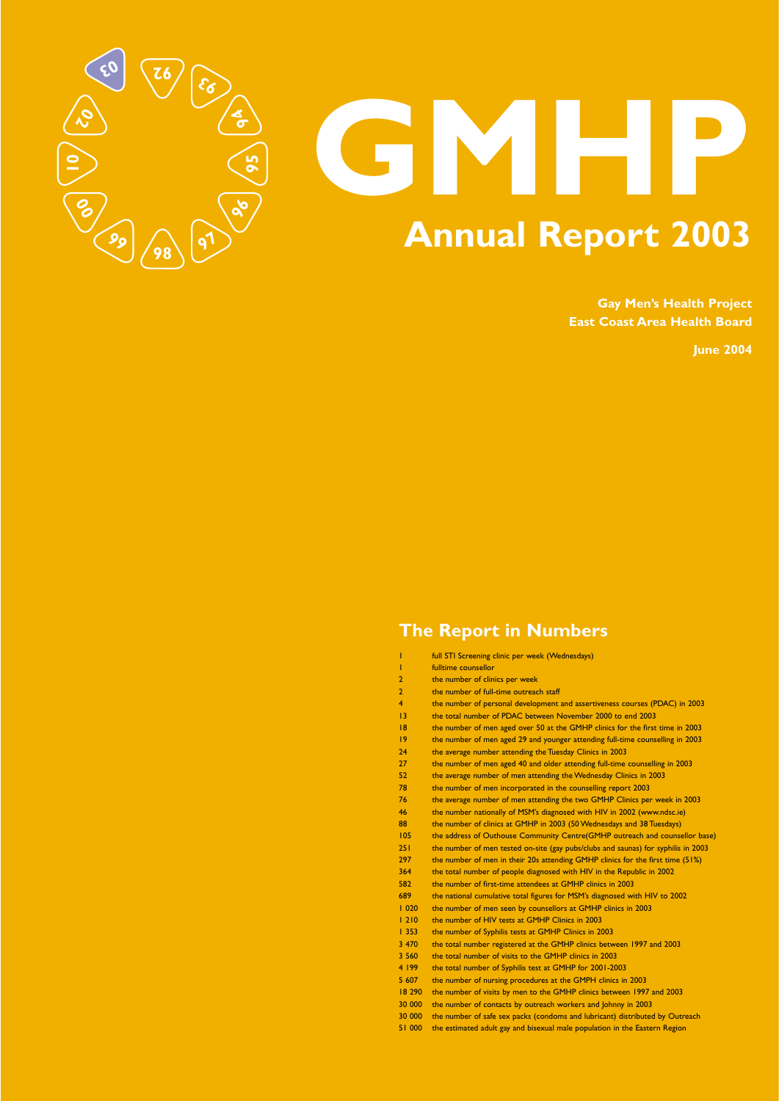# **The Report in Numbers**

- 1 **full STI Screening clinic per week (Wednesdays)**
- 1 fulltime counsellor
- 2 the number of clinics per week
- 2 the number of full-time outreach staff
- 4 the number of personal development and assertiveness courses (PDAC) in 2003
- 13 the total number of PDAC between November 2000 to end 2003
- 18 the number of men aged over 50 at the GMHP clinics for the first time in 2003
- 19 the number of men aged 29 and younger attending full-time counselling in 2003
- 24 the average number attending the Tuesday Clinics in 2003
- 27 the number of men aged 40 and older attending full-time counselling in 2003
- 52 the average number of men attending the Wednesday Clinics in 2003
- 78 the number of men incorporated in the counselling report 2003
- 76 the average number of men attending the two GMHP Clinics per week in 2003
- 46 the number nationally of MSM's diagnosed with HIV in 2002 (www.ndsc.ie) 88 the number of clinics at GMHP in 2003 (50 Wednesdays and 38 Tuesdays)
- 105 the address of Outhouse Community Centre(GMHP outreach and counsellor base) 251 the number of men tested on-site (gay pubs/clubs and saunas) for syphilis in 2003 297 the number of men in their 20s attending GMHP clinics for the first time (51%) 364 the total number of people diagnosed with HIV in the Republic in 2002 582 the number of first-time attendees at GMHP clinics in 2003 689 the national cumulative total figures for MSM's diagnosed with HIV to 2002 1 020 the number of men seen by counsellors at GMHP clinics in 2003 1 210 the number of HIV tests at GMHP Clinics in 2003 1 353 the number of Syphilis tests at GMHP Clinics in 2003 3 470 the total number registered at the GMHP clinics between 1997 and 2003 3 560 the total number of visits to the GMHP clinics in 2003 4 199 the total number of Syphilis test at GMHP for 2001-2003 5 607 the number of nursing procedures at the GMPH clinics in 2003 18 290 the number of visits by men to the GMHP clinics between 1997 and 2003 30 000 the number of contacts by outreach workers and Johnny in 2003 30 000 the number of safe sex packs (condoms and lubricant) distributed by Outreach 51 000 the estimated adult gay and bisexual male population in the Eastern Region

# **GMHP Annual Report 2003**

**Gay Men's Health Project East Coast Area Health Board**

**June 2004**

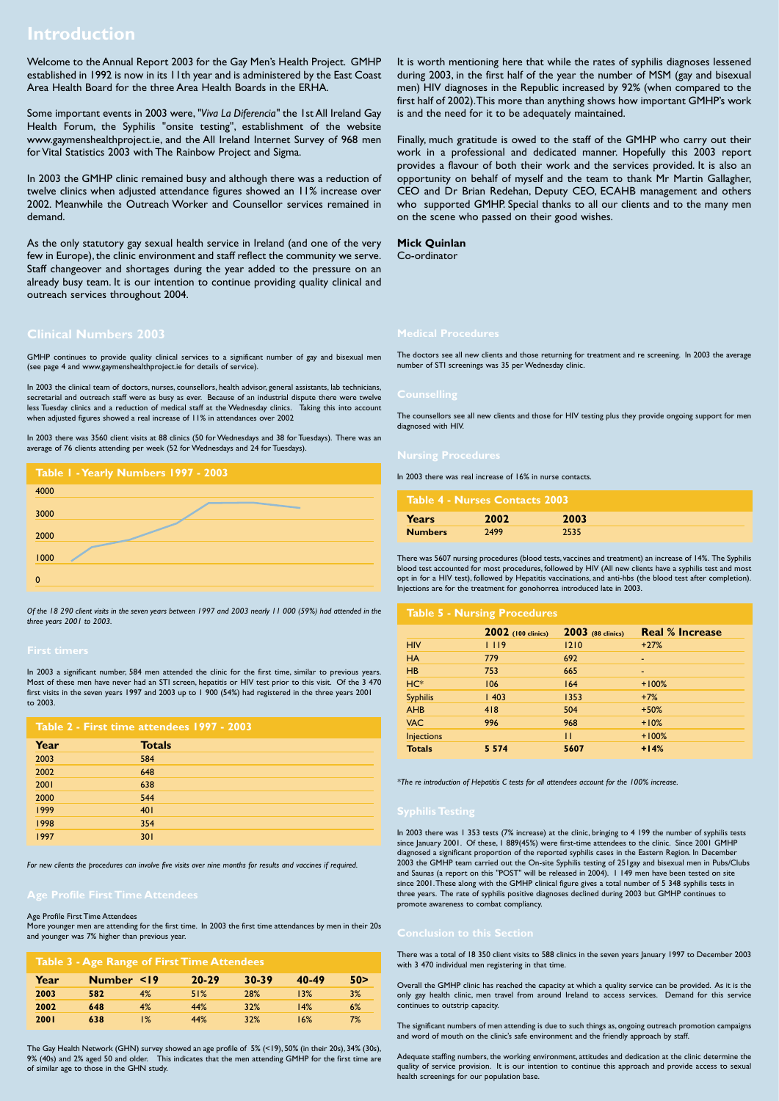# **Introduction**

Welcome to the Annual Report 2003 for the Gay Men's Health Project. GMHP established in 1992 is now in its 11th year and is administered by the East Coast Area Health Board for the three Area Health Boards in the ERHA.

Some important events in 2003 were,*"Viva La Diferencia"* the 1st All Ireland Gay Health Forum, the Syphilis "onsite testing", establishment of the website www.gaymenshealthproject.ie, and the All Ireland Internet Survey of 968 men for Vital Statistics 2003 with The Rainbow Project and Sigma.

In 2003 the GMHP clinic remained busy and although there was a reduction of twelve clinics when adjusted attendance figures showed an 11% increase over 2002. Meanwhile the Outreach Worker and Counsellor services remained in demand.

As the only statutory gay sexual health service in Ireland (and one of the very few in Europe), the clinic environment and staff reflect the community we serve. Staff changeover and shortages during the year added to the pressure on an already busy team. It is our intention to continue providing quality clinical and outreach services throughout 2004.

It is worth mentioning here that while the rates of syphilis diagnoses lessened during 2003, in the first half of the year the number of MSM (gay and bisexual men) HIV diagnoses in the Republic increased by 92% (when compared to the first half of 2002).This more than anything shows how important GMHP's work is and the need for it to be adequately maintained.

Finally, much gratitude is owed to the staff of the GMHP who carry out their work in a professional and dedicated manner. Hopefully this 2003 report provides a flavour of both their work and the services provided. It is also an opportunity on behalf of myself and the team to thank Mr Martin Gallagher, CEO and Dr Brian Redehan, Deputy CEO, ECAHB management and others who supported GMHP. Special thanks to all our clients and to the many men on the scene who passed on their good wishes.

## **Mick Quinlan**

Co-ordinator

## **Clinical Numbers 2003**

GMHP continues to provide quality clinical services to a significant number of gay and bisexual men (see page 4 and www.gaymenshealthproject.ie for details of service).

In 2003 the clinical team of doctors, nurses, counsellors, health advisor, general assistants, lab technicians, secretarial and outreach staff were as busy as ever. Because of an industrial dispute there were twelve less Tuesday clinics and a reduction of medical staff at the Wednesday clinics. Taking this into account when adjusted figures showed a real increase of 11% in attendances over 2002

In 2003 there was 3560 client visits at 88 clinics (50 for Wednesdays and 38 for Tuesdays). There was an average of 76 clients attending per week (52 for Wednesdays and 24 for Tuesdays).

*Of the 18 290 client visits in the seven years between 1997 and 2003 nearly 11 000 (59%) had attended in the three years 2001 to 2003.*

In 2003 a significant number, 584 men attended the clinic for the first time, similar to previous years. Most of these men have never had an STI screen, hepatitis or HIV test prior to this visit. Of the 3 470 first visits in the seven years 1997 and 2003 up to 1 900 (54%) had registered in the three years 2001 to 2003.

*For new clients the procedures can involve five visits over nine months for results and vaccines if required.*

## Age Profile First Time Attendees

More younger men are attending for the first time. In 2003 the first time attendances by men in their 20s and younger was 7% higher than previous year.

The Gay Health Network (GHN) survey showed an age profile of 5% (<19), 50% (in their 20s), 34% (30s), 9% (40s) and 2% aged 50 and older. This indicates that the men attending GMHP for the first time are of similar age to those in the GHN study.

The doctors see all new clients and those returning for treatment and re screening. In 2003 the average number of STI screenings was 35 per Wednesday clinic.

The counsellors see all new clients and those for HIV testing plus they provide ongoing support for men diagnosed with HIV.

In 2003 there was real increase of 16% in nurse contacts.

There was 5607 nursing procedures (blood tests, vaccines and treatment) an increase of 14%. The Syphilis blood test accounted for most procedures, followed by HIV (All new clients have a syphilis test and most opt in for a HIV test), followed by Hepatitis vaccinations, and anti-hbs (the blood test after completion). Injections are for the treatment for gonohorrea introduced late in 2003.

*\*The re introduction of Hepatitis C tests for all attendees account for the 100% increase.*

In 2003 there was 1 353 tests (7% increase) at the clinic, bringing to 4 199 the number of syphilis tests since January 2001. Of these, 1 889(45%) were first-time attendees to the clinic. Since 2001 GMHP diagnosed a significant proportion of the reported syphilis cases in the Eastern Region. In December 2003 the GMHP team carried out the On-site Syphilis testing of 251gay and bisexual men in Pubs/Clubs and Saunas (a report on this "POST" will be released in 2004). 1 149 men have been tested on site since 2001.These along with the GMHP clinical figure gives a total number of 5 348 syphilis tests in three years. The rate of syphilis positive diagnoses declined during 2003 but GMHP continues to promote awareness to combat compliancy.

There was a total of 18 350 client visits to 588 clinics in the seven years January 1997 to December 2003 with 3 470 individual men registering in that time.

Overall the GMHP clinic has reached the capacity at which a quality service can be provided. As it is the only gay health clinic, men travel from around Ireland to access services. Demand for this service continues to outstrip capacity.

The significant numbers of men attending is due to such things as, ongoing outreach promotion campaigns and word of mouth on the clinic's safe environment and the friendly approach by staff.

Adequate staffing numbers, the working environment, attitudes and dedication at the clinic determine the quality of service provision. It is our intention to continue this approach and provide access to sexual health screenings for our population base.



| Table 2 - First time attendees 1997 - 2003 |               |  |  |
|--------------------------------------------|---------------|--|--|
| Year                                       | <b>Totals</b> |  |  |
| 2003                                       | 584           |  |  |
| 2002                                       | 648           |  |  |
| 2001                                       | 638           |  |  |
| 2000                                       | 544           |  |  |
| 1999                                       | 401           |  |  |
| 1998                                       | 354           |  |  |
|                                            |               |  |  |

| 1997 | 301 |  |
|------|-----|--|
|      |     |  |

| Table 4 - Nurses Contacts 2003 |      |      |  |
|--------------------------------|------|------|--|
| <b>Years</b>                   | 2002 | 2003 |  |
| <b>Numbers</b>                 | 2499 | 2535 |  |

## **Table 5 - Nursing Procedures**

|                   | 2002 (100 clinics) | <b>2003</b> (88 clinics) | <b>Real % Increase</b>   |
|-------------------|--------------------|--------------------------|--------------------------|
| <b>HIV</b>        | 1119               | 1210                     | $+27%$                   |
| <b>HA</b>         | 779                | 692                      | $\overline{\phantom{0}}$ |
| HB                | 753                | 665                      | $\blacksquare$           |
| $HC*$             | 106                | 164                      | $+100%$                  |
| <b>Syphilis</b>   | 1403               | 1353                     | $+7%$                    |
| <b>AHB</b>        | 418                | 504                      | $+50%$                   |
| <b>VAC</b>        | 996                | 968                      | $+10%$                   |
| <b>Injections</b> |                    | П                        | $+100%$                  |
| <b>Totals</b>     | 5 5 7 4            | 5607                     | $+14%$                   |

## **Table 3 - Age Range of First Time Attendees**

| Year        | Number <19 |    | $20 - 29$ | 30-39      | 40-49 | 50> |
|-------------|------------|----|-----------|------------|-------|-----|
| 2003        | 582        | 4% | 51%       | <b>28%</b> | 13%   | 3%  |
| 2002        | 648        | 4% | 44%       | 32%        | 14%   | 6%  |
| <b>2001</b> | 638        | 1% | 44%       | 32%        | 16%   | 7%  |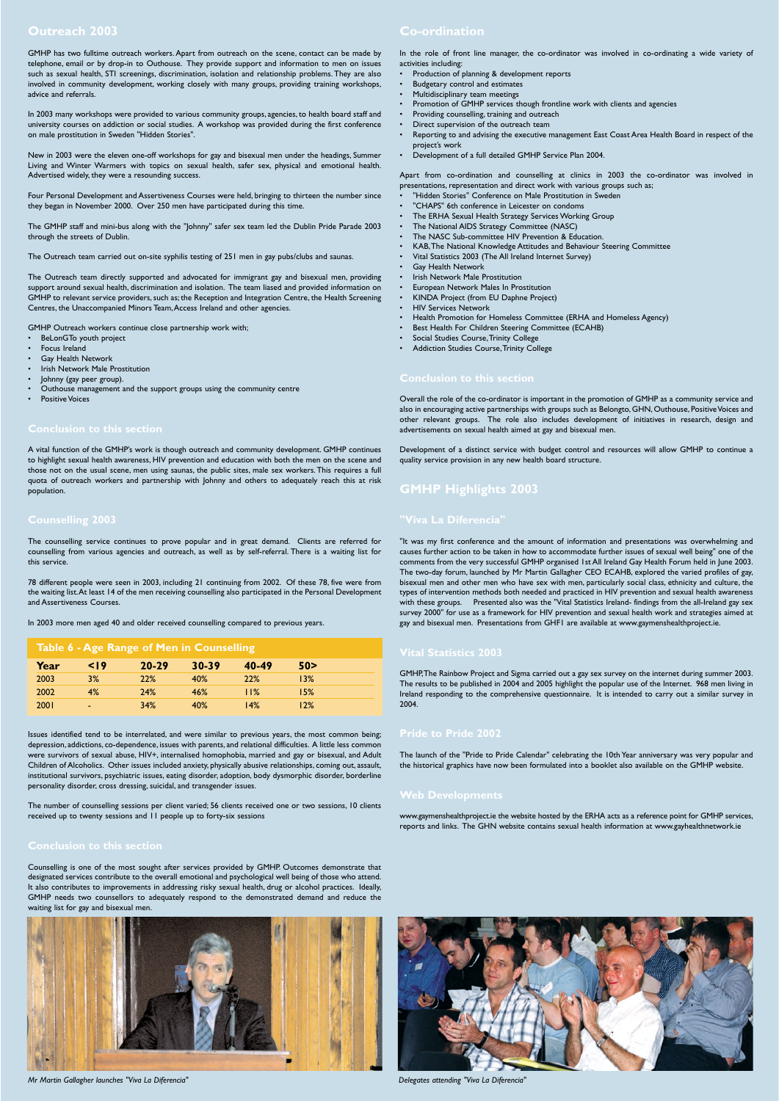GMHP has two fulltime outreach workers. Apart from outreach on the scene, contact can be made by telephone, email or by drop-in to Outhouse. They provide support and information to men on issues such as sexual health, STI screenings, discrimination, isolation and relationship problems. They are also involved in community development, working closely with many groups, providing training workshops, advice and referrals.

In 2003 many workshops were provided to various community groups, agencies, to health board staff and university courses on addiction or social studies. A workshop was provided during the first conference on male prostitution in Sweden "Hidden Stories".

New in 2003 were the eleven one-off workshops for gay and bisexual men under the headings, Summer Living and Winter Warmers with topics on sexual health, safer sex, physical and emotional health. Advertised widely, they were a resounding success.

Four Personal Development and Assertiveness Courses were held, bringing to thirteen the number since they began in November 2000. Over 250 men have participated during this time.

The GMHP staff and mini-bus along with the "Johnny" safer sex team led the Dublin Pride Parade 2003 through the streets of Dublin.

The Outreach team carried out on-site syphilis testing of 251 men in gay pubs/clubs and saunas.

The Outreach team directly supported and advocated for immigrant gay and bisexual men, providing support around sexual health, discrimination and isolation. The team liased and provided information on GMHP to relevant service providers, such as; the Reception and Integration Centre, the Health Screening Centres, the Unaccompanied Minors Team,Access Ireland and other agencies.

GMHP Outreach workers continue close partnership work with;

- BeLonGTo youth project
- Focus Ireland
- **Gay Health Network**
- Irish Network Male Prostitution
- Johnny (gay peer group).
- Outhouse management and the support groups using the community centre
- **Positive Voices**

A vital function of the GMHP's work is though outreach and community development. GMHP continues to highlight sexual health awareness, HIV prevention and education with both the men on the scene and those not on the usual scene, men using saunas, the public sites, male sex workers. This requires a full quota of outreach workers and partnership with Johnny and others to adequately reach this at risk population.

The counselling service continues to prove popular and in great demand. Clients are referred for counselling from various agencies and outreach, as well as by self-referral. There is a waiting list for this service.

78 different people were seen in 2003, including 21 continuing from 2002. Of these 78, five were from the waiting list.At least 14 of the men receiving counselling also participated in the Personal Development and Assertiveness Courses.

- "Hidden Stories" Conference on Male Prostitution in Sweden
- "CHAPS" 6th conference in Leicester on condoms
- The ERHA Sexual Health Strategy Services Working Group
- The National AIDS Strategy Committee (NASC)
- The NASC Sub-committee HIV Prevention & Education.
- KAB,The National Knowledge Attitudes and Behaviour Steering Committee
- Vital Statistics 2003 (The All Ireland Internet Survey)
- Gay Health Network
- Irish Network Male Prostitution
- European Network Males In Prostitution
- KINDA Project (from EU Daphne Project)
- HIV Services Network
- Health Promotion for Homeless Committee (ERHA and Homeless Agency)
- Best Health For Children Steering Committee (ECAHB)
- Social Studies Course,Trinity College
- Addiction Studies Course,Trinity College

In 2003 more men aged 40 and older received counselling compared to previous years.

Issues identified tend to be interrelated, and were similar to previous years, the most common being; depression, addictions, co-dependence, issues with parents, and relational difficulties. A little less common were survivors of sexual abuse, HIV+, internalised homophobia, married and gay or bisexual, and Adult Children of Alcoholics. Other issues included anxiety, physically abusive relationships, coming out, assault, institutional survivors, psychiatric issues, eating disorder, adoption, body dysmorphic disorder, borderline personality disorder, cross dressing, suicidal, and transgender issues.

The number of counselling sessions per client varied; 56 clients received one or two sessions, 10 clients received up to twenty sessions and 11 people up to forty-six sessions

Counselling is one of the most sought after services provided by GMHP. Outcomes demonstrate that designated services contribute to the overall emotional and psychological well being of those who attend. It also contributes to improvements in addressing risky sexual health, drug or alcohol practices. Ideally, GMHP needs two counsellors to adequately respond to the demonstrated demand and reduce the waiting list for gay and bisexual men.



In the role of front line manager, the co-ordinator was involved in co-ordinating a wide variety of activities including:

- Production of planning & development reports
- Budgetary control and estimates
- Multidisciplinary team meetings
- Promotion of GMHP services though frontline work with clients and agencies
- Providing counselling, training and outreach
- Direct supervision of the outreach team
- Reporting to and advising the executive management East Coast Area Health Board in respect of the project's work
- Development of a full detailed GMHP Service Plan 2004.

Apart from co-ordination and counselling at clinics in 2003 the co-ordinator was involved in presentations, representation and direct work with various groups such as;

Overall the role of the co-ordinator is important in the promotion of GMHP as a community service and also in encouraging active partnerships with groups such as Belongto, GHN, Outhouse, Positive Voices and other relevant groups. The role also includes development of initiatives in research, design and advertisements on sexual health aimed at gay and bisexual men.

Development of a distinct service with budget control and resources will allow GMHP to continue a quality service provision in any new health board structure.

# **GMHP Highlights 2003**

"It was my first conference and the amount of information and presentations was overwhelming and causes further action to be taken in how to accommodate further issues of sexual well being" one of the comments from the very successful GMHP organised 1st All Ireland Gay Health Forum held in June 2003. The two-day forum, launched by Mr Martin Gallagher CEO ECAHB, explored the varied profiles of gay, bisexual men and other men who have sex with men, particularly social class, ethnicity and culture, the types of intervention methods both needed and practiced in HIV prevention and sexual health awareness with these groups. Presented also was the "Vital Statistics Ireland- findings from the all-Ireland gay sex survey 2000" for use as a framework for HIV prevention and sexual health work and strategies aimed at gay and bisexual men. Presentations from GHF1 are available at www.gaymenshealthproject.ie.

## **Vital Statistics 2003**

GMHP,The Rainbow Project and Sigma carried out a gay sex survey on the internet during summer 2003. The results to be published in 2004 and 2005 highlight the popular use of the Internet. 968 men living in Ireland responding to the comprehensive questionnaire. It is intended to carry out a similar survey in 2004.

The launch of the "Pride to Pride Calendar" celebrating the 10th Year anniversary was very popular and the historical graphics have now been formulated into a booklet also available on the GMHP website.

www.gaymenshealthproject.ie the website hosted by the ERHA acts as a reference point for GMHP services, reports and links. The GHN website contains sexual health information at www.gayhealthnetwork.ie

| Table 6 - Age Range of Men in Counselling |            |            |            |       |      |  |
|-------------------------------------------|------------|------------|------------|-------|------|--|
| Year                                      | $\leq$   9 | $20 - 29$  | 30-39      | 40-49 | 50>  |  |
| 2003                                      | 3%         | 22%        | <b>40%</b> | 22%   | 13%  |  |
| 2002                                      | 4%         | <b>24%</b> | 46%        | 11%   | 15%  |  |
| 2001                                      | -          | 34%        | 40%        | 14%   | l 2% |  |

*Mr Martin Gallagher launches "Viva La Diferencia" Delegates attending "Viva La Diferencia"*